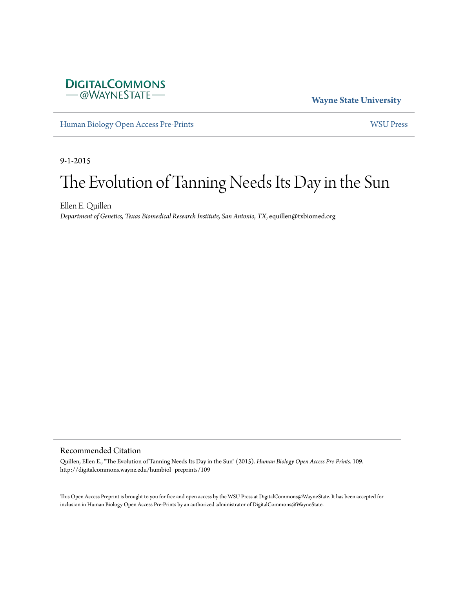

**Wayne State University**

[Human Biology Open Access Pre-Prints](http://digitalcommons.wayne.edu/humbiol_preprints) [WSU Press](http://digitalcommons.wayne.edu/wsupress)

9-1-2015

# The Evolution of Tanning Needs Its Day in the Sun

Ellen E. Quillen *Department of Genetics, Texas Biomedical Research Institute, San Antonio, TX*, equillen@txbiomed.org

#### Recommended Citation

Quillen, Ellen E., "The Evolution of Tanning Needs Its Day in the Sun" (2015). *Human Biology Open Access Pre-Prints*. 109. http://digitalcommons.wayne.edu/humbiol\_preprints/109

This Open Access Preprint is brought to you for free and open access by the WSU Press at DigitalCommons@WayneState. It has been accepted for inclusion in Human Biology Open Access Pre-Prints by an authorized administrator of DigitalCommons@WayneState.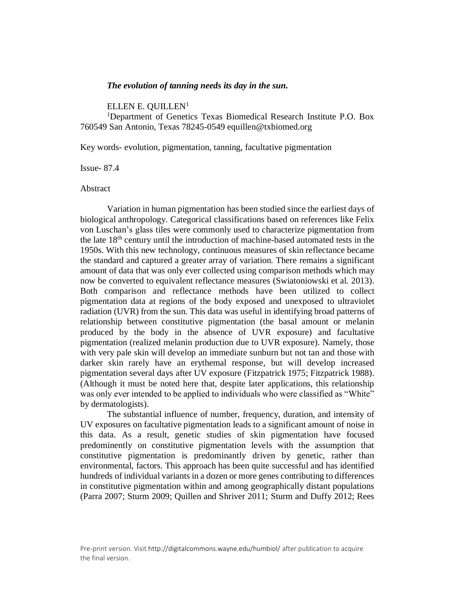#### *The evolution of tanning needs its day in the sun.*

[ELLEN E. QUILLEN](javascript:popUp()<sup>1</sup>

<sup>1</sup>Department of Genetics Texas Biomedical Research Institute P.O. Box 760549 San Antonio, Texas 78245-0549 equillen@txbiomed.org

Key words- evolution, pigmentation, tanning, facultative pigmentation

Issue- 87.4

Abstract

Variation in human pigmentation has been studied since the earliest days of biological anthropology. Categorical classifications based on references like Felix von Luschan's glass tiles were commonly used to characterize pigmentation from the late 18th century until the introduction of machine-based automated tests in the 1950s. With this new technology, continuous measures of skin reflectance became the standard and captured a greater array of variation. There remains a significant amount of data that was only ever collected using comparison methods which may now be converted to equivalent reflectance measures (Swiatoniowski et al. 2013). Both comparison and reflectance methods have been utilized to collect pigmentation data at regions of the body exposed and unexposed to ultraviolet radiation (UVR) from the sun. This data was useful in identifying broad patterns of relationship between constitutive pigmentation (the basal amount or melanin produced by the body in the absence of UVR exposure) and facultative pigmentation (realized melanin production due to UVR exposure). Namely, those with very pale skin will develop an immediate sunburn but not tan and those with darker skin rarely have an erythemal response, but will develop increased pigmentation several days after UV exposure (Fitzpatrick 1975; Fitzpatrick 1988). (Although it must be noted here that, despite later applications, this relationship was only ever intended to be applied to individuals who were classified as "White" by dermatologists).

The substantial influence of number, frequency, duration, and intensity of UV exposures on facultative pigmentation leads to a significant amount of noise in this data. As a result, genetic studies of skin pigmentation have focused predominently on constitutive pigmentation levels with the assumption that constitutive pigmentation is predominantly driven by genetic, rather than environmental, factors. This approach has been quite successful and has identified hundreds of individual variants in a dozen or more genes contributing to differences in constitutive pigmentation within and among geographically distant populations (Parra 2007; Sturm 2009; Quillen and Shriver 2011; Sturm and Duffy 2012; Rees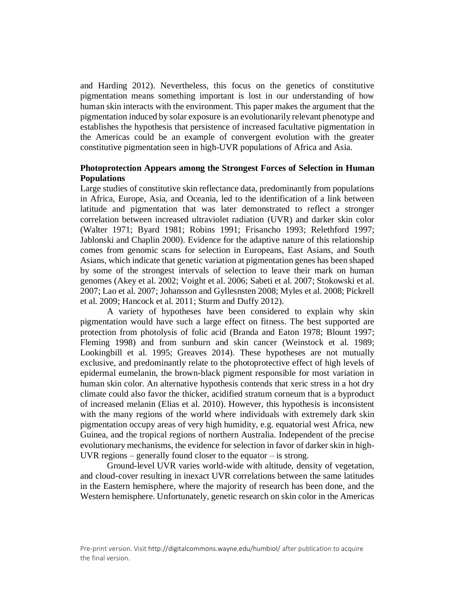and Harding 2012). Nevertheless, this focus on the genetics of constitutive pigmentation means something important is lost in our understanding of how human skin interacts with the environment. This paper makes the argument that the pigmentation induced by solar exposure is an evolutionarily relevant phenotype and establishes the hypothesis that persistence of increased facultative pigmentation in the Americas could be an example of convergent evolution with the greater constitutive pigmentation seen in high-UVR populations of Africa and Asia.

# **Photoprotection Appears among the Strongest Forces of Selection in Human Populations**

Large studies of constitutive skin reflectance data, predominantly from populations in Africa, Europe, Asia, and Oceania, led to the identification of a link between latitude and pigmentation that was later demonstrated to reflect a stronger correlation between increased ultraviolet radiation (UVR) and darker skin color (Walter 1971; Byard 1981; Robins 1991; Frisancho 1993; Relethford 1997; Jablonski and Chaplin 2000). Evidence for the adaptive nature of this relationship comes from genomic scans for selection in Europeans, East Asians, and South Asians, which indicate that genetic variation at pigmentation genes has been shaped by some of the strongest intervals of selection to leave their mark on human genomes (Akey et al. 2002; Voight et al. 2006; Sabeti et al. 2007; Stokowski et al. 2007; Lao et al. 2007; Johansson and Gyllesnsten 2008; Myles et al. 2008; Pickrell et al. 2009; Hancock et al. 2011; Sturm and Duffy 2012).

A variety of hypotheses have been considered to explain why skin pigmentation would have such a large effect on fitness. The best supported are protection from photolysis of folic acid (Branda and Eaton 1978; Blount 1997; Fleming 1998) and from sunburn and skin cancer (Weinstock et al. 1989; Lookingbill et al. 1995; Greaves 2014). These hypotheses are not mutually exclusive, and predominantly relate to the photoprotective effect of high levels of epidermal eumelanin, the brown-black pigment responsible for most variation in human skin color. An alternative hypothesis contends that xeric stress in a hot dry climate could also favor the thicker, acidified stratum corneum that is a byproduct of increased melanin (Elias et al. 2010). However, this hypothesis is inconsistent with the many regions of the world where individuals with extremely dark skin pigmentation occupy areas of very high humidity, e.g. equatorial west Africa, new Guinea, and the tropical regions of northern Australia. Independent of the precise evolutionary mechanisms, the evidence for selection in favor of darker skin in high-UVR regions  $-$  generally found closer to the equator  $-$  is strong.

Ground-level UVR varies world-wide with altitude, density of vegetation, and cloud-cover resulting in inexact UVR correlations between the same latitudes in the Eastern hemisphere, where the majority of research has been done, and the Western hemisphere. Unfortunately, genetic research on skin color in the Americas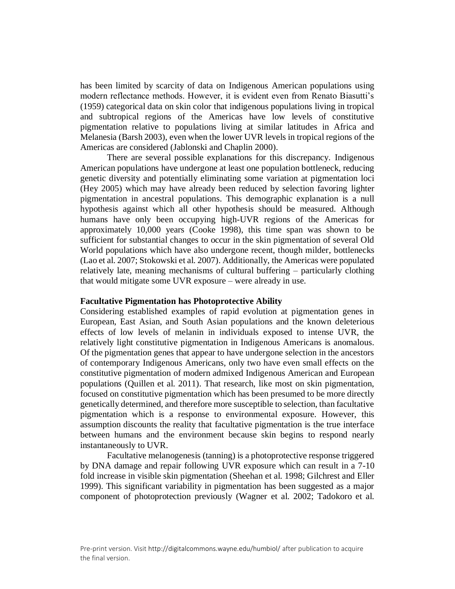has been limited by scarcity of data on Indigenous American populations using modern reflectance methods. However, it is evident even from Renato Biasutti's (1959) categorical data on skin color that indigenous populations living in tropical and subtropical regions of the Americas have low levels of constitutive pigmentation relative to populations living at similar latitudes in Africa and Melanesia (Barsh 2003), even when the lower UVR levels in tropical regions of the Americas are considered (Jablonski and Chaplin 2000).

There are several possible explanations for this discrepancy. Indigenous American populations have undergone at least one population bottleneck, reducing genetic diversity and potentially eliminating some variation at pigmentation loci (Hey 2005) which may have already been reduced by selection favoring lighter pigmentation in ancestral populations. This demographic explanation is a null hypothesis against which all other hypothesis should be measured. Although humans have only been occupying high-UVR regions of the Americas for approximately 10,000 years (Cooke 1998), this time span was shown to be sufficient for substantial changes to occur in the skin pigmentation of several Old World populations which have also undergone recent, though milder, bottlenecks (Lao et al. 2007; Stokowski et al. 2007). Additionally, the Americas were populated relatively late, meaning mechanisms of cultural buffering – particularly clothing that would mitigate some UVR exposure – were already in use.

## **Facultative Pigmentation has Photoprotective Ability**

Considering established examples of rapid evolution at pigmentation genes in European, East Asian, and South Asian populations and the known deleterious effects of low levels of melanin in individuals exposed to intense UVR, the relatively light constitutive pigmentation in Indigenous Americans is anomalous. Of the pigmentation genes that appear to have undergone selection in the ancestors of contemporary Indigenous Americans, only two have even small effects on the constitutive pigmentation of modern admixed Indigenous American and European populations (Quillen et al. 2011). That research, like most on skin pigmentation, focused on constitutive pigmentation which has been presumed to be more directly genetically determined, and therefore more susceptible to selection, than facultative pigmentation which is a response to environmental exposure. However, this assumption discounts the reality that facultative pigmentation is the true interface between humans and the environment because skin begins to respond nearly instantaneously to UVR.

Facultative melanogenesis (tanning) is a photoprotective response triggered by DNA damage and repair following UVR exposure which can result in a 7-10 fold increase in visible skin pigmentation (Sheehan et al. 1998; Gilchrest and Eller 1999). This significant variability in pigmentation has been suggested as a major component of photoprotection previously (Wagner et al. 2002; Tadokoro et al.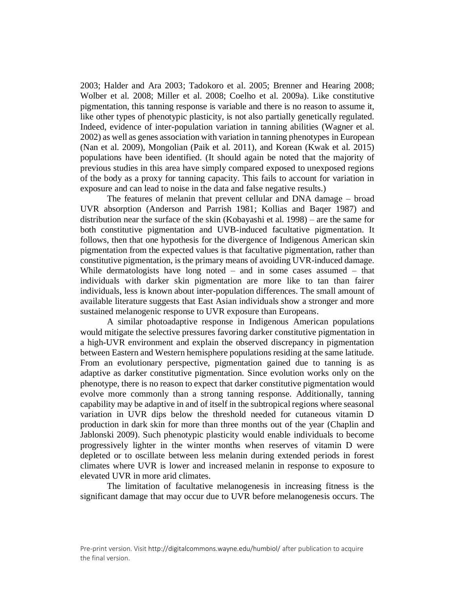2003; Halder and Ara 2003; Tadokoro et al. 2005; Brenner and Hearing 2008; Wolber et al. 2008; Miller et al. 2008; Coelho et al. 2009a). Like constitutive pigmentation, this tanning response is variable and there is no reason to assume it, like other types of phenotypic plasticity, is not also partially genetically regulated. Indeed, evidence of inter-population variation in tanning abilities (Wagner et al. 2002) as well as genes association with variation in tanning phenotypes in European (Nan et al. 2009), Mongolian (Paik et al. 2011), and Korean (Kwak et al. 2015) populations have been identified. (It should again be noted that the majority of previous studies in this area have simply compared exposed to unexposed regions of the body as a proxy for tanning capacity. This fails to account for variation in exposure and can lead to noise in the data and false negative results.)

The features of melanin that prevent cellular and DNA damage – broad UVR absorption (Anderson and Parrish 1981; Kollias and Baqer 1987) and distribution near the surface of the skin (Kobayashi et al. 1998) – are the same for both constitutive pigmentation and UVB-induced facultative pigmentation. It follows, then that one hypothesis for the divergence of Indigenous American skin pigmentation from the expected values is that facultative pigmentation, rather than constitutive pigmentation, is the primary means of avoiding UVR-induced damage. While dermatologists have long noted  $-$  and in some cases assumed  $-$  that individuals with darker skin pigmentation are more like to tan than fairer individuals, less is known about inter-population differences. The small amount of available literature suggests that East Asian individuals show a stronger and more sustained melanogenic response to UVR exposure than Europeans.

A similar photoadaptive response in Indigenous American populations would mitigate the selective pressures favoring darker constitutive pigmentation in a high-UVR environment and explain the observed discrepancy in pigmentation between Eastern and Western hemisphere populations residing at the same latitude. From an evolutionary perspective, pigmentation gained due to tanning is as adaptive as darker constitutive pigmentation. Since evolution works only on the phenotype, there is no reason to expect that darker constitutive pigmentation would evolve more commonly than a strong tanning response. Additionally, tanning capability may be adaptive in and of itself in the subtropical regions where seasonal variation in UVR dips below the threshold needed for cutaneous vitamin D production in dark skin for more than three months out of the year (Chaplin and Jablonski 2009). Such phenotypic plasticity would enable individuals to become progressively lighter in the winter months when reserves of vitamin D were depleted or to oscillate between less melanin during extended periods in forest climates where UVR is lower and increased melanin in response to exposure to elevated UVR in more arid climates.

The limitation of facultative melanogenesis in increasing fitness is the significant damage that may occur due to UVR before melanogenesis occurs. The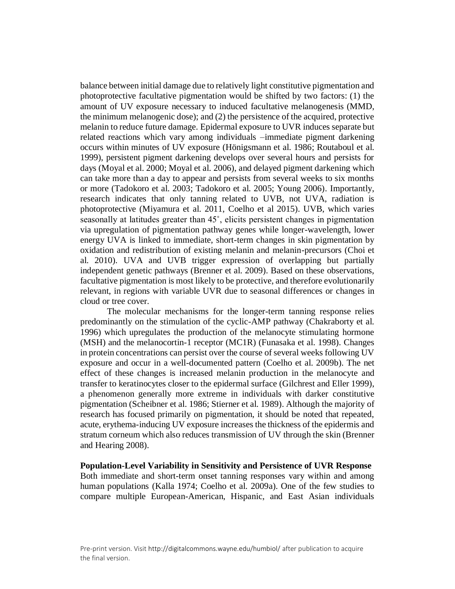balance between initial damage due to relatively light constitutive pigmentation and photoprotective facultative pigmentation would be shifted by two factors: (1) the amount of UV exposure necessary to induced facultative melanogenesis (MMD, the minimum melanogenic dose); and (2) the persistence of the acquired, protective melanin to reduce future damage. Epidermal exposure to UVR induces separate but related reactions which vary among individuals –immediate pigment darkening occurs within minutes of UV exposure (Hönigsmann et al. 1986; Routaboul et al. 1999), persistent pigment darkening develops over several hours and persists for days (Moyal et al. 2000; Moyal et al. 2006), and delayed pigment darkening which can take more than a day to appear and persists from several weeks to six months or more (Tadokoro et al. 2003; Tadokoro et al. 2005; Young 2006). Importantly, research indicates that only tanning related to UVB, not UVA, radiation is photoprotective (Miyamura et al. 2011, Coelho et al 2015). UVB, which varies seasonally at latitudes greater than 45˚, elicits persistent changes in pigmentation via upregulation of pigmentation pathway genes while longer-wavelength, lower energy UVA is linked to immediate, short-term changes in skin pigmentation by oxidation and redistribution of existing melanin and melanin-precursors (Choi et al. 2010). UVA and UVB trigger expression of overlapping but partially independent genetic pathways (Brenner et al. 2009). Based on these observations, facultative pigmentation is most likely to be protective, and therefore evolutionarily relevant, in regions with variable UVR due to seasonal differences or changes in cloud or tree cover.

The molecular mechanisms for the longer-term tanning response relies predominantly on the stimulation of the cyclic-AMP pathway (Chakraborty et al. 1996) which upregulates the production of the melanocyte stimulating hormone (MSH) and the melanocortin-1 receptor (MC1R) (Funasaka et al. 1998). Changes in protein concentrations can persist over the course of several weeks following UV exposure and occur in a well-documented pattern (Coelho et al. 2009b). The net effect of these changes is increased melanin production in the melanocyte and transfer to keratinocytes closer to the epidermal surface (Gilchrest and Eller 1999), a phenomenon generally more extreme in individuals with darker constitutive pigmentation (Scheibner et al. 1986; Stierner et al. 1989). Although the majority of research has focused primarily on pigmentation, it should be noted that repeated, acute, erythema-inducing UV exposure increases the thickness of the epidermis and stratum corneum which also reduces transmission of UV through the skin (Brenner and Hearing 2008).

**Population-Level Variability in Sensitivity and Persistence of UVR Response** Both immediate and short-term onset tanning responses vary within and among human populations (Kalla 1974; Coelho et al. 2009a). One of the few studies to compare multiple European-American, Hispanic, and East Asian individuals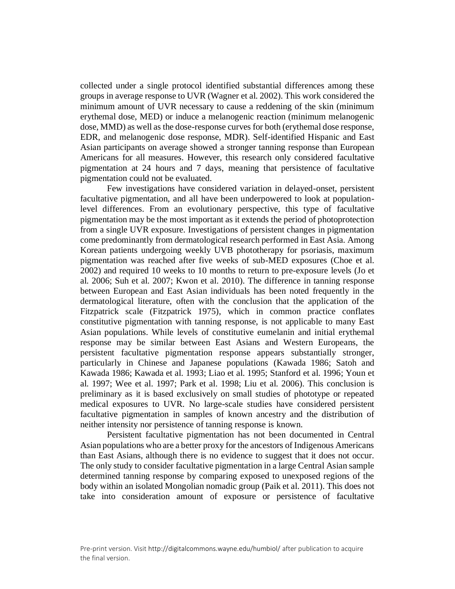collected under a single protocol identified substantial differences among these groups in average response to UVR (Wagner et al. 2002). This work considered the minimum amount of UVR necessary to cause a reddening of the skin (minimum erythemal dose, MED) or induce a melanogenic reaction (minimum melanogenic dose, MMD) as well as the dose-response curves for both (erythemal dose response, EDR, and melanogenic dose response, MDR). Self-identified Hispanic and East Asian participants on average showed a stronger tanning response than European Americans for all measures. However, this research only considered facultative pigmentation at 24 hours and 7 days, meaning that persistence of facultative pigmentation could not be evaluated.

Few investigations have considered variation in delayed-onset, persistent facultative pigmentation, and all have been underpowered to look at populationlevel differences. From an evolutionary perspective, this type of facultative pigmentation may be the most important as it extends the period of photoprotection from a single UVR exposure. Investigations of persistent changes in pigmentation come predominantly from dermatological research performed in East Asia. Among Korean patients undergoing weekly UVB phototherapy for psoriasis, maximum pigmentation was reached after five weeks of sub-MED exposures (Choe et al. 2002) and required 10 weeks to 10 months to return to pre-exposure levels (Jo et al. 2006; Suh et al. 2007; Kwon et al. 2010). The difference in tanning response between European and East Asian individuals has been noted frequently in the dermatological literature, often with the conclusion that the application of the Fitzpatrick scale (Fitzpatrick 1975), which in common practice conflates constitutive pigmentation with tanning response, is not applicable to many East Asian populations. While levels of constitutive eumelanin and initial erythemal response may be similar between East Asians and Western Europeans, the persistent facultative pigmentation response appears substantially stronger, particularly in Chinese and Japanese populations (Kawada 1986; Satoh and Kawada 1986; Kawada et al. 1993; Liao et al. 1995; Stanford et al. 1996; Youn et al. 1997; Wee et al. 1997; Park et al. 1998; Liu et al. 2006). This conclusion is preliminary as it is based exclusively on small studies of phototype or repeated medical exposures to UVR. No large-scale studies have considered persistent facultative pigmentation in samples of known ancestry and the distribution of neither intensity nor persistence of tanning response is known.

Persistent facultative pigmentation has not been documented in Central Asian populations who are a better proxy for the ancestors of Indigenous Americans than East Asians, although there is no evidence to suggest that it does not occur. The only study to consider facultative pigmentation in a large Central Asian sample determined tanning response by comparing exposed to unexposed regions of the body within an isolated Mongolian nomadic group (Paik et al. 2011). This does not take into consideration amount of exposure or persistence of facultative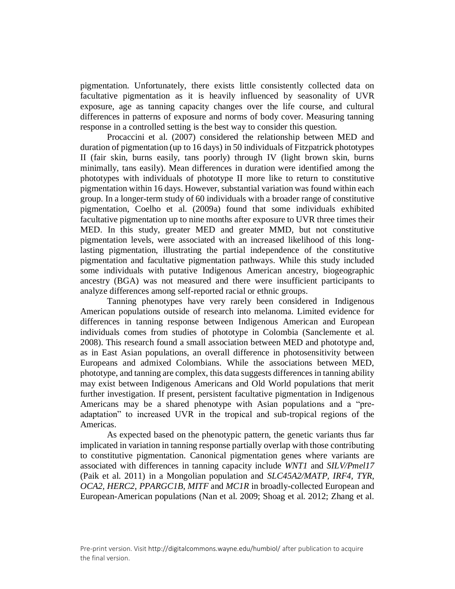pigmentation. Unfortunately, there exists little consistently collected data on facultative pigmentation as it is heavily influenced by seasonality of UVR exposure, age as tanning capacity changes over the life course, and cultural differences in patterns of exposure and norms of body cover. Measuring tanning response in a controlled setting is the best way to consider this question.

Procaccini et al. (2007) considered the relationship between MED and duration of pigmentation (up to 16 days) in 50 individuals of Fitzpatrick phototypes II (fair skin, burns easily, tans poorly) through IV (light brown skin, burns minimally, tans easily). Mean differences in duration were identified among the phototypes with individuals of phototype II more like to return to constitutive pigmentation within 16 days. However, substantial variation was found within each group. In a longer-term study of 60 individuals with a broader range of constitutive pigmentation, Coelho et al. (2009a) found that some individuals exhibited facultative pigmentation up to nine months after exposure to UVR three times their MED. In this study, greater MED and greater MMD, but not constitutive pigmentation levels, were associated with an increased likelihood of this longlasting pigmentation, illustrating the partial independence of the constitutive pigmentation and facultative pigmentation pathways. While this study included some individuals with putative Indigenous American ancestry, biogeographic ancestry (BGA) was not measured and there were insufficient participants to analyze differences among self-reported racial or ethnic groups.

Tanning phenotypes have very rarely been considered in Indigenous American populations outside of research into melanoma. Limited evidence for differences in tanning response between Indigenous American and European individuals comes from studies of phototype in Colombia (Sanclemente et al. 2008). This research found a small association between MED and phototype and, as in East Asian populations, an overall difference in photosensitivity between Europeans and admixed Colombians. While the associations between MED, phototype, and tanning are complex, this data suggests differences in tanning ability may exist between Indigenous Americans and Old World populations that merit further investigation. If present, persistent facultative pigmentation in Indigenous Americans may be a shared phenotype with Asian populations and a "preadaptation" to increased UVR in the tropical and sub-tropical regions of the Americas.

As expected based on the phenotypic pattern, the genetic variants thus far implicated in variation in tanning response partially overlap with those contributing to constitutive pigmentation. Canonical pigmentation genes where variants are associated with differences in tanning capacity include *WNT1* and *SILV/Pmel17* (Paik et al. 2011) in a Mongolian population and *SLC45A2/MATP, IRF4, TYR, OCA2, HERC2*, *PPARGC1B*, *MITF* and *MC1R* in broadly-collected European and European-American populations (Nan et al. 2009; Shoag et al. 2012; Zhang et al.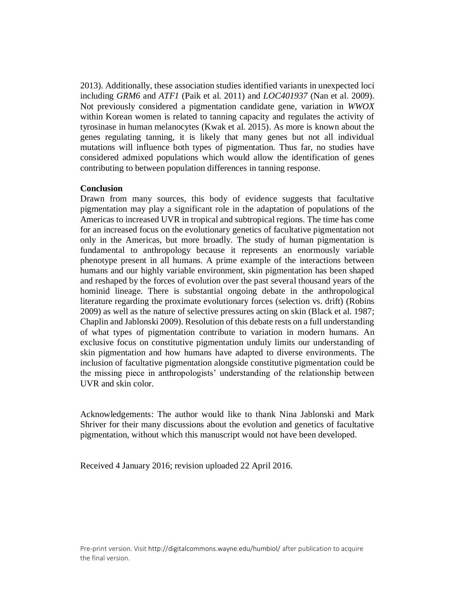2013). Additionally, these association studies identified variants in unexpected loci including *GRM6* and *ATF1* (Paik et al. 2011) and *LOC401937* (Nan et al. 2009). Not previously considered a pigmentation candidate gene, variation in *WWOX* within Korean women is related to tanning capacity and regulates the activity of tyrosinase in human melanocytes (Kwak et al. 2015). As more is known about the genes regulating tanning, it is likely that many genes but not all individual mutations will influence both types of pigmentation. Thus far, no studies have considered admixed populations which would allow the identification of genes contributing to between population differences in tanning response.

# **Conclusion**

Drawn from many sources, this body of evidence suggests that facultative pigmentation may play a significant role in the adaptation of populations of the Americas to increased UVR in tropical and subtropical regions. The time has come for an increased focus on the evolutionary genetics of facultative pigmentation not only in the Americas, but more broadly. The study of human pigmentation is fundamental to anthropology because it represents an enormously variable phenotype present in all humans. A prime example of the interactions between humans and our highly variable environment, skin pigmentation has been shaped and reshaped by the forces of evolution over the past several thousand years of the hominid lineage. There is substantial ongoing debate in the anthropological literature regarding the proximate evolutionary forces (selection vs. drift) (Robins 2009) as well as the nature of selective pressures acting on skin (Black et al. 1987; Chaplin and Jablonski 2009). Resolution of this debate rests on a full understanding of what types of pigmentation contribute to variation in modern humans. An exclusive focus on constitutive pigmentation unduly limits our understanding of skin pigmentation and how humans have adapted to diverse environments. The inclusion of facultative pigmentation alongside constitutive pigmentation could be the missing piece in anthropologists' understanding of the relationship between UVR and skin color.

Acknowledgements: The author would like to thank Nina Jablonski and Mark Shriver for their many discussions about the evolution and genetics of facultative pigmentation, without which this manuscript would not have been developed.

Received 4 January 2016; revision uploaded 22 April 2016.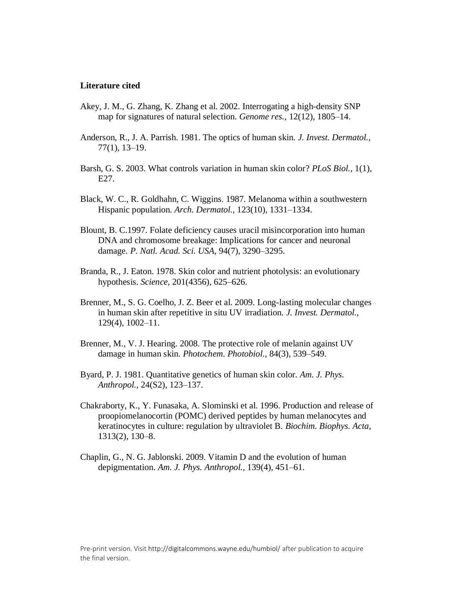## **Literature cited**

- Akey, J. M., G. Zhang, K. Zhang et al. 2002. Interrogating a high-density SNP map for signatures of natural selection. *Genome res.*, 12(12), 1805–14.
- Anderson, R., J. A. Parrish. 1981. The optics of human skin. *J. Invest. Dermatol.*, 77(1), 13–19.
- Barsh, G. S. 2003. What controls variation in human skin color? *PLoS Biol.*, 1(1), E27.
- Black, W. C., R. Goldhahn, C. Wiggins. 1987. Melanoma within a southwestern Hispanic population. *Arch. Dermatol.*, 123(10), 1331–1334.
- Blount, B. C.1997. Folate deficiency causes uracil misincorporation into human DNA and chromosome breakage: Implications for cancer and neuronal damage. *P. Natl. Acad. Sci. USA*, 94(7), 3290–3295.
- Branda, R., J. Eaton. 1978. Skin color and nutrient photolysis: an evolutionary hypothesis. *Science*, 201(4356), 625–626.
- Brenner, M., S. G. Coelho, J. Z. Beer et al. 2009. Long-lasting molecular changes in human skin after repetitive in situ UV irradiation. *J. Invest. Dermatol.,* 129(4), 1002–11.
- Brenner, M., V. J. Hearing. 2008. The protective role of melanin against UV damage in human skin. *Photochem. Photobiol.*, 84(3), 539–549.
- Byard, P. J. 1981. Quantitative genetics of human skin color. *Am. J. Phys. Anthropol.*, 24(S2), 123–137.
- Chakraborty, K., Y. Funasaka, A. Slominski et al. 1996. Production and release of proopiomelanocortin (POMC) derived peptides by human melanocytes and keratinocytes in culture: regulation by ultraviolet B. *Biochim. Biophys. Acta*, 1313(2), 130–8.
- Chaplin, G., N. G. Jablonski. 2009. Vitamin D and the evolution of human depigmentation. *Am. J. Phys. Anthropol.*, 139(4), 451–61.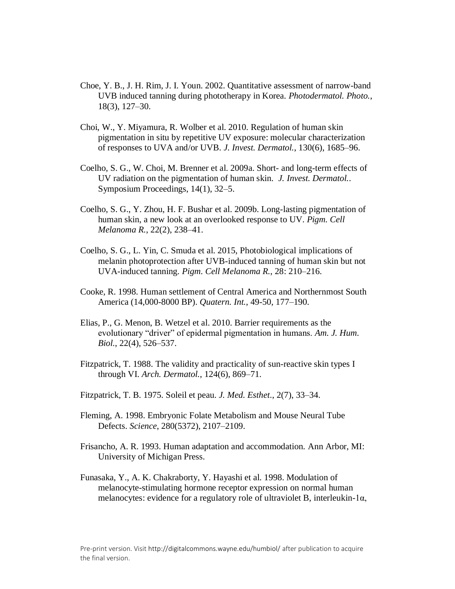- Choe, Y. B., J. H. Rim, J. I. Youn. 2002. Quantitative assessment of narrow-band UVB induced tanning during phototherapy in Korea. *Photodermatol. Photo.*, 18(3), 127–30.
- Choi, W., Y. Miyamura, R. Wolber et al. 2010. Regulation of human skin pigmentation in situ by repetitive UV exposure: molecular characterization of responses to UVA and/or UVB. *J. Invest. Dermatol.*, 130(6), 1685–96.
- Coelho, S. G., W. Choi, M. Brenner et al. 2009a. Short- and long-term effects of UV radiation on the pigmentation of human skin. *J. Invest. Dermatol.*. Symposium Proceedings, 14(1), 32–5.
- Coelho, S. G., Y. Zhou, H. F. Bushar et al. 2009b. Long-lasting pigmentation of human skin, a new look at an overlooked response to UV. *Pigm. Cell Melanoma R.*, 22(2), 238–41.
- Coelho, S. G., L. Yin, C. Smuda et al. 2015, Photobiological implications of melanin photoprotection after UVB-induced tanning of human skin but not UVA-induced tanning. *Pigm. Cell Melanoma R.*, 28: 210–216.
- Cooke, R. 1998. Human settlement of Central America and Northernmost South America (14,000-8000 BP). *Quatern. Int.*, 49-50, 177–190.
- Elias, P., G. Menon, B. Wetzel et al. 2010. Barrier requirements as the evolutionary "driver" of epidermal pigmentation in humans. *Am. J. Hum. Biol.*, 22(4), 526–537.
- Fitzpatrick, T. 1988. The validity and practicality of sun-reactive skin types I through VI. *Arch. Dermatol.*, 124(6), 869–71.
- Fitzpatrick, T. B. 1975. Soleil et peau. *J. Med. Esthet.*, 2(7), 33–34.
- Fleming, A. 1998. Embryonic Folate Metabolism and Mouse Neural Tube Defects. *Science*, 280(5372), 2107–2109.
- Frisancho, A. R. 1993. Human adaptation and accommodation. Ann Arbor, MI: University of Michigan Press.
- Funasaka, Y., A. K. Chakraborty, Y. Hayashi et al. 1998. Modulation of melanocyte-stimulating hormone receptor expression on normal human melanocytes: evidence for a regulatory role of ultraviolet B, interleukin-1α,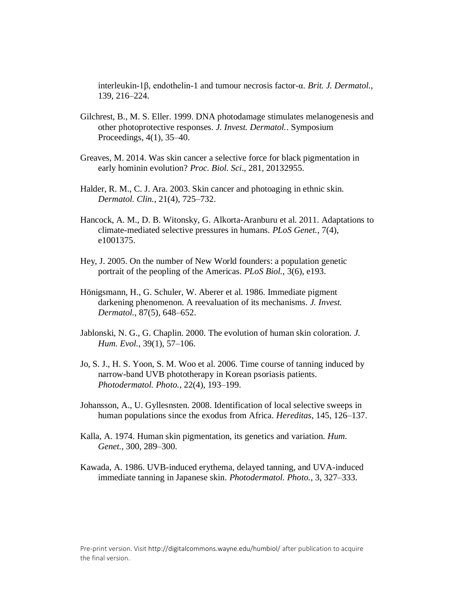interleukin-1β, endothelin-1 and tumour necrosis factor-α. *Brit. J. Dermatol.*, 139, 216–224.

- Gilchrest, B., M. S. Eller. 1999. DNA photodamage stimulates melanogenesis and other photoprotective responses. *J. Invest. Dermatol.*. Symposium Proceedings, 4(1), 35–40.
- Greaves, M. 2014. Was skin cancer a selective force for black pigmentation in early hominin evolution? *Proc. Biol. Sci*., 281, 20132955.
- Halder, R. M., C. J. Ara. 2003. Skin cancer and photoaging in ethnic skin. *Dermatol. Clin.*, 21(4), 725–732.
- Hancock, A. M., D. B. Witonsky, G. Alkorta-Aranburu et al. 2011. Adaptations to climate-mediated selective pressures in humans. *PLoS Genet.*, 7(4), e1001375.
- Hey, J. 2005. On the number of New World founders: a population genetic portrait of the peopling of the Americas. *PLoS Biol.*, 3(6), e193.
- Hönigsmann, H., G. Schuler, W. Aberer et al. 1986. Immediate pigment darkening phenomenon. A reevaluation of its mechanisms. *J. Invest. Dermatol.*, 87(5), 648–652.
- Jablonski, N. G., G. Chaplin. 2000. The evolution of human skin coloration. *J. Hum. Evol.*, 39(1), 57–106.
- Jo, S. J., H. S. Yoon, S. M. Woo et al. 2006. Time course of tanning induced by narrow-band UVB phototherapy in Korean psoriasis patients. *Photodermatol. Photo.*, 22(4), 193–199.
- Johansson, A., U. Gyllesnsten. 2008. Identification of local selective sweeps in human populations since the exodus from Africa. *Hereditas*, 145, 126–137.
- Kalla, A. 1974. Human skin pigmentation, its genetics and variation. *Hum. Genet.*, 300, 289–300.
- Kawada, A. 1986. UVB-induced erythema, delayed tanning, and UVA-induced immediate tanning in Japanese skin. *Photodermatol. Photo.*, 3, 327–333.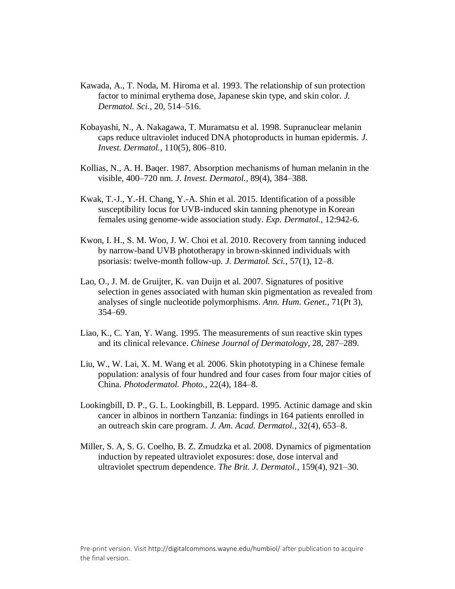- Kawada, A., T. Noda, M. Hiroma et al. 1993. The relationship of sun protection factor to minimal erythema dose, Japanese skin type, and skin color. *J. Dermatol. Sci.*, 20, 514–516.
- Kobayashi, N., A. Nakagawa, T. Muramatsu et al. 1998. Supranuclear melanin caps reduce ultraviolet induced DNA photoproducts in human epidermis. *J. Invest. Dermatol.*, 110(5), 806–810.
- Kollias, N., A. H. Baqer. 1987. Absorption mechanisms of human melanin in the visible, 400–720 nm. *J. Invest. Dermatol.*, 89(4), 384–388.
- Kwak, T.-J., Y.-H. Chang, Y.-A. Shin et al. 2015. Identification of a possible susceptibility locus for UVB-induced skin tanning phenotype in Korean females using genome-wide association study. *Exp. Dermatol.*, 12:942-6.
- Kwon, I. H., S. M. Woo, J. W. Choi et al. 2010. Recovery from tanning induced by narrow-band UVB phototherapy in brown-skinned individuals with psoriasis: twelve-month follow-up. *J. Dermatol. Sci.*, 57(1), 12–8.
- Lao, O., J. M. de Gruijter, K. van Duijn et al. 2007. Signatures of positive selection in genes associated with human skin pigmentation as revealed from analyses of single nucleotide polymorphisms. *Ann. Hum. Genet.*, 71(Pt 3), 354–69.
- Liao, K., C. Yan, Y. Wang. 1995. The measurements of sun reactive skin types and its clinical relevance. *Chinese Journal of Dermatology*, 28, 287–289.
- Liu, W., W. Lai, X. M. Wang et al. 2006. Skin phototyping in a Chinese female population: analysis of four hundred and four cases from four major cities of China. *Photodermatol. Photo.*, 22(4), 184–8.
- Lookingbill, D. P., G. L. Lookingbill, B. Leppard. 1995. Actinic damage and skin cancer in albinos in northern Tanzania: findings in 164 patients enrolled in an outreach skin care program. *J. Am. Acad. Dermatol.*, 32(4), 653–8.
- Miller, S. A, S. G. Coelho, B. Z. Zmudzka et al. 2008. Dynamics of pigmentation induction by repeated ultraviolet exposures: dose, dose interval and ultraviolet spectrum dependence. *The Brit. J. Dermatol.*, 159(4), 921–30.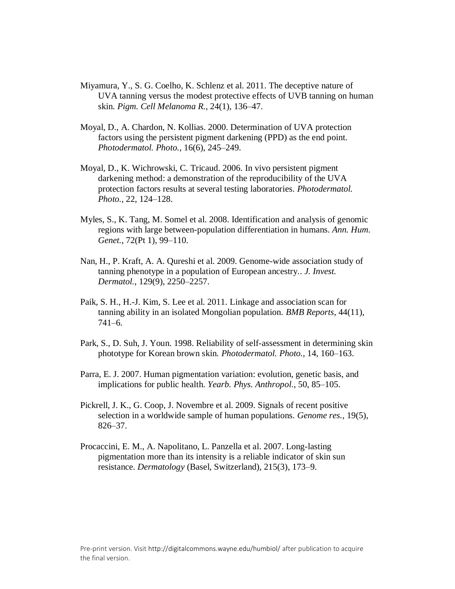- Miyamura, Y., S. G. Coelho, K. Schlenz et al. 2011. The deceptive nature of UVA tanning versus the modest protective effects of UVB tanning on human skin. *Pigm. Cell Melanoma R.*, 24(1), 136–47.
- Moyal, D., A. Chardon, N. Kollias. 2000. Determination of UVA protection factors using the persistent pigment darkening (PPD) as the end point. *Photodermatol. Photo.*, 16(6), 245–249.
- Moyal, D., K. Wichrowski, C. Tricaud. 2006. In vivo persistent pigment darkening method: a demonstration of the reproducibility of the UVA protection factors results at several testing laboratories. *Photodermatol. Photo.*, 22, 124–128.
- Myles, S., K. Tang, M. Somel et al. 2008. Identification and analysis of genomic regions with large between-population differentiation in humans. *Ann. Hum. Genet.*, 72(Pt 1), 99–110.
- Nan, H., P. Kraft, A. A. Qureshi et al. 2009. Genome-wide association study of tanning phenotype in a population of European ancestry.. *J. Invest. Dermatol.*, 129(9), 2250–2257.
- Paik, S. H., H.-J. Kim, S. Lee et al. 2011. Linkage and association scan for tanning ability in an isolated Mongolian population. *BMB Reports*, 44(11), 741–6.
- Park, S., D. Suh, J. Youn. 1998. Reliability of self-assessment in determining skin phototype for Korean brown skin. *Photodermatol. Photo.*, 14, 160–163.
- Parra, E. J. 2007. Human pigmentation variation: evolution, genetic basis, and implications for public health. *Yearb. Phys. Anthropol.*, 50, 85–105.
- Pickrell, J. K., G. Coop, J. Novembre et al. 2009. Signals of recent positive selection in a worldwide sample of human populations. *Genome res.*, 19(5), 826–37.
- Procaccini, E. M., A. Napolitano, L. Panzella et al. 2007. Long-lasting pigmentation more than its intensity is a reliable indicator of skin sun resistance. *Dermatology* (Basel, Switzerland), 215(3), 173–9.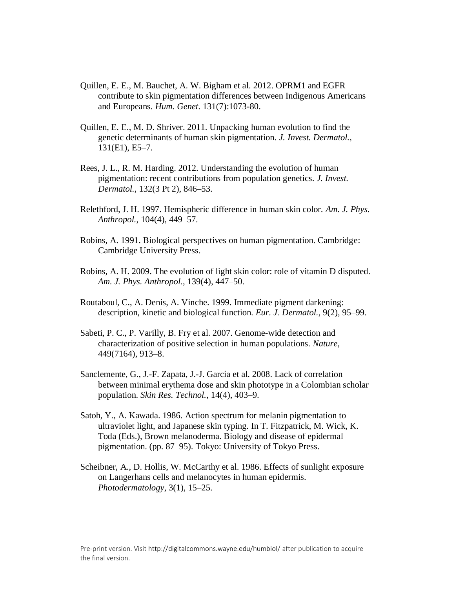- Quillen, E. E., M. Bauchet, A. W. Bigham et al. 2012. OPRM1 and EGFR contribute to skin pigmentation differences between Indigenous Americans and Europeans. *Hum. Genet*. 131(7):1073-80.
- Quillen, E. E., M. D. Shriver. 2011. Unpacking human evolution to find the genetic determinants of human skin pigmentation. *J. Invest. Dermatol.*, 131(E1), E5–7.
- Rees, J. L., R. M. Harding. 2012. Understanding the evolution of human pigmentation: recent contributions from population genetics. *J. Invest. Dermatol.*, 132(3 Pt 2), 846–53.
- Relethford, J. H. 1997. Hemispheric difference in human skin color. *Am. J. Phys. Anthropol.*, 104(4), 449–57.
- Robins, A. 1991. Biological perspectives on human pigmentation. Cambridge: Cambridge University Press.
- Robins, A. H. 2009. The evolution of light skin color: role of vitamin D disputed. *Am. J. Phys. Anthropol.*, 139(4), 447–50.
- Routaboul, C., A. Denis, A. Vinche. 1999. Immediate pigment darkening: description, kinetic and biological function. *Eur. J. Dermatol.*, 9(2), 95–99.
- Sabeti, P. C., P. Varilly, B. Fry et al. 2007. Genome-wide detection and characterization of positive selection in human populations. *Nature*, 449(7164), 913–8.
- Sanclemente, G., J.-F. Zapata, J.-J. García et al. 2008. Lack of correlation between minimal erythema dose and skin phototype in a Colombian scholar population. *Skin Res. Technol.*, 14(4), 403–9.
- Satoh, Y., A. Kawada. 1986. Action spectrum for melanin pigmentation to ultraviolet light, and Japanese skin typing. In T. Fitzpatrick, M. Wick, K. Toda (Eds.), Brown melanoderma. Biology and disease of epidermal pigmentation. (pp. 87–95). Tokyo: University of Tokyo Press.
- Scheibner, A., D. Hollis, W. McCarthy et al. 1986. Effects of sunlight exposure on Langerhans cells and melanocytes in human epidermis. *Photodermatology*, 3(1), 15–25.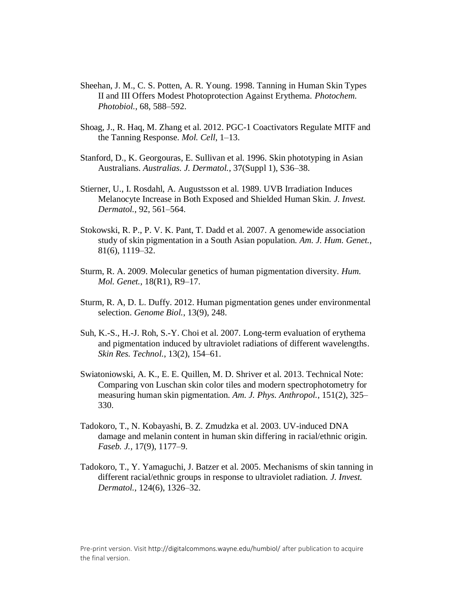- Sheehan, J. M., C. S. Potten, A. R. Young. 1998. Tanning in Human Skin Types II and III Offers Modest Photoprotection Against Erythema. *Photochem. Photobiol.*, 68, 588–592.
- Shoag, J., R. Haq, M. Zhang et al. 2012. PGC-1 Coactivators Regulate MITF and the Tanning Response. *Mol. Cell*, 1–13.
- Stanford, D., K. Georgouras, E. Sullivan et al. 1996. Skin phototyping in Asian Australians. *Australias. J. Dermatol.*, 37(Suppl 1), S36–38.
- Stierner, U., I. Rosdahl, A. Augustsson et al. 1989. UVB Irradiation Induces Melanocyte Increase in Both Exposed and Shielded Human Skin. *J. Invest. Dermatol.*, 92, 561–564.
- Stokowski, R. P., P. V. K. Pant, T. Dadd et al. 2007. A genomewide association study of skin pigmentation in a South Asian population. *Am. J. Hum. Genet.*, 81(6), 1119–32.
- Sturm, R. A. 2009. Molecular genetics of human pigmentation diversity. *Hum. Mol. Genet.*, 18(R1), R9–17.
- Sturm, R. A, D. L. Duffy. 2012. Human pigmentation genes under environmental selection. *Genome Biol.*, 13(9), 248.
- Suh, K.-S., H.-J. Roh, S.-Y. Choi et al. 2007. Long-term evaluation of erythema and pigmentation induced by ultraviolet radiations of different wavelengths. *Skin Res. Technol.*, 13(2), 154–61.
- Swiatoniowski, A. K., E. E. Quillen, M. D. Shriver et al. 2013. Technical Note: Comparing von Luschan skin color tiles and modern spectrophotometry for measuring human skin pigmentation. *Am. J. Phys. Anthropol.*, 151(2), 325– 330.
- Tadokoro, T., N. Kobayashi, B. Z. Zmudzka et al. 2003. UV-induced DNA damage and melanin content in human skin differing in racial/ethnic origin. *Faseb. J.,* 17(9), 1177–9.
- Tadokoro, T., Y. Yamaguchi, J. Batzer et al. 2005. Mechanisms of skin tanning in different racial/ethnic groups in response to ultraviolet radiation. *J. Invest. Dermatol.*, 124(6), 1326–32.